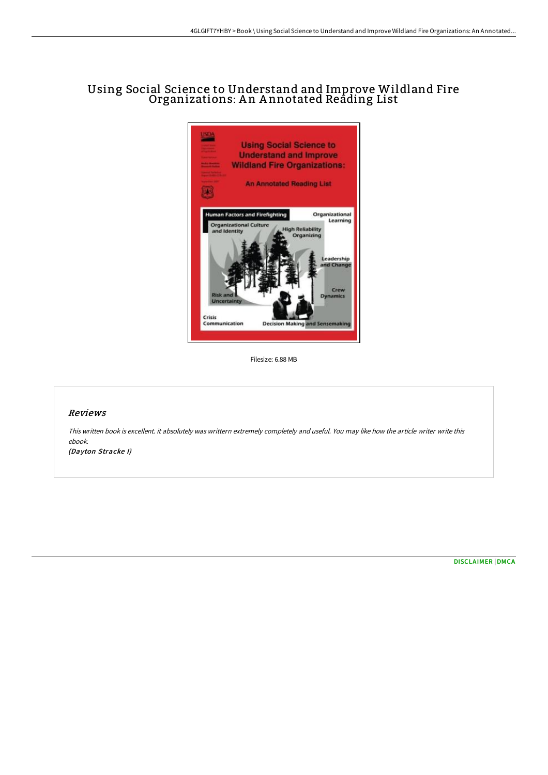# Using Social Science to Understand and Improve Wildland Fire Organizations: A n A nnotated Reading List



Filesize: 6.88 MB

#### Reviews

This written book is excellent. it absolutely was writtern extremely completely and useful. You may like how the article writer write this ebook.

(Dayton Stracke I)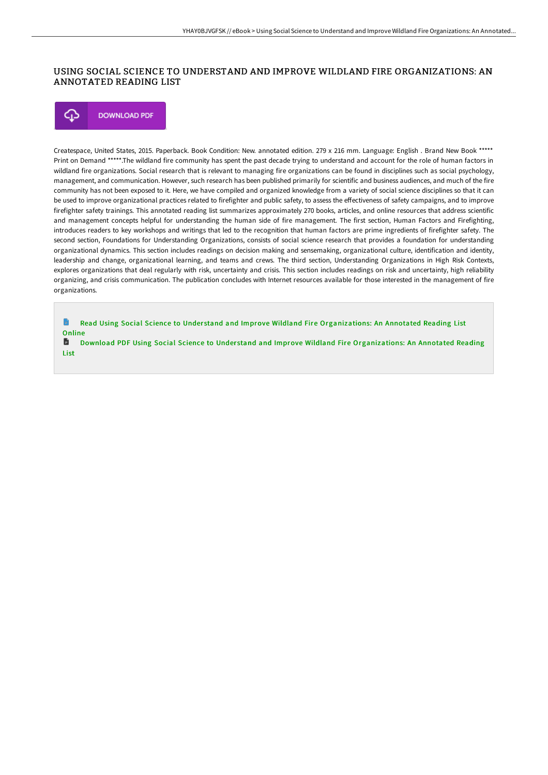## USING SOCIAL SCIENCE TO UNDERSTAND AND IMPROVE WILDLAND FIRE ORGANIZATIONS: AN ANNOTATED READING LIST

⊕ **DOWNLOAD PDF** 

Createspace, United States, 2015. Paperback. Book Condition: New. annotated edition. 279 x 216 mm. Language: English . Brand New Book \*\*\*\*\* Print on Demand \*\*\*\*\*.The wildland fire community has spent the past decade trying to understand and account for the role of human factors in wildland fire organizations. Social research that is relevant to managing fire organizations can be found in disciplines such as social psychology, management, and communication. However, such research has been published primarily for scientific and business audiences, and much of the fire community has not been exposed to it. Here, we have compiled and organized knowledge from a variety of social science disciplines so that it can be used to improve organizational practices related to firefighter and public safety, to assess the effectiveness of safety campaigns, and to improve firefighter safety trainings. This annotated reading list summarizes approximately 270 books, articles, and online resources that address scientific and management concepts helpful for understanding the human side of fire management. The first section, Human Factors and Firefighting, introduces readers to key workshops and writings that led to the recognition that human factors are prime ingredients of firefighter safety. The second section, Foundations for Understanding Organizations, consists of social science research that provides a foundation for understanding organizational dynamics. This section includes readings on decision making and sensemaking, organizational culture, identification and identity, leadership and change, organizational learning, and teams and crews. The third section, Understanding Organizations in High Risk Contexts, explores organizations that deal regularly with risk, uncertainty and crisis. This section includes readings on risk and uncertainty, high reliability organizing, and crisis communication. The publication concludes with Internet resources available for those interested in the management of fire organizations.

B Read Using Social Science to Understand and Improve Wildland Fire [Organizations:](http://bookera.tech/using-social-science-to-understand-and-improve-w.html) An Annotated Reading List **Online** 

旨 Download PDF Using Social Science to Understand and Improve Wildland Fire [Organizations:](http://bookera.tech/using-social-science-to-understand-and-improve-w.html) An Annotated Reading List